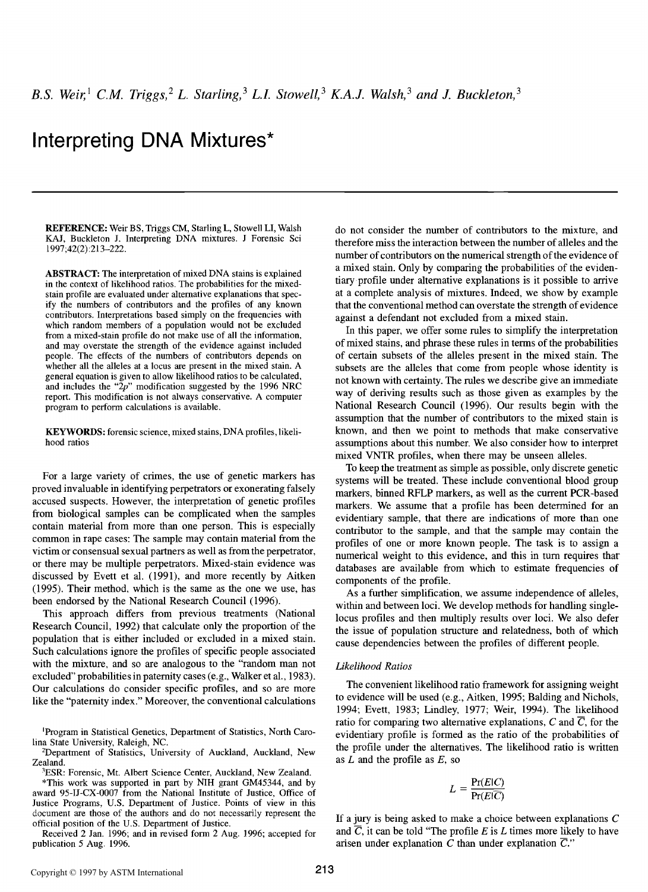# **Interpreting DNA Mixtures\***

**REFERENCE:** Weir BS, Triggs CM, Starling L, Stowell LI, Walsh KAJ, Buckleton J. Interpreting *DNA* mixtures. J Forensic Sci 1997;42(2):213-222.

ABSTRACT: The interpretation of mixed DNA stains is explained in the context of likelihood ratios. The probabilities for the mixedstain profile are evaluated under alternative explanations that specify the numbers of contributors and the profiles of any known contributors. Interpretations based simply on the frequencies with which random members of a population would not be excluded from a mixed-stain profile do not make use of all the information, and may overstate the strength of the evidence against included people. The effects of the numbers of contributors depends on whether all the alleles at a locus are present in the mixed stain. A general equation is given to allow likelihood ratios to be calculated, and includes the " $2p$ " modification suggested by the 1996 NRC report. This modification is not always conservative. A computer program to perform calculations is available.

KEYWORDS: forensic science, mixed stains, DNA profiles, likelihood ratios

For a large variety of crimes, the use of genetic markers has proved invaluable in identifying perpetrators or exonerating falsely accused suspects. However, the interpretation of genetic profiles from biological samples can be complicated when the samples contain material from more than one person. This is especially common in rape cases: The sample may contain material from the victim or consensual sexual partners as well as from the perpetrator, or there may be multiple perpetrators. Mixed-stain evidence was discussed by Evett et al. (1991), and more recently by Aitken (1995). Their method, which is the same as the one we use, has been endorsed by the National Research Council (1996).

This approach differs from previous treatments (National Research Council, 1992) that calculate only the proportion of the population that is either included or excluded in a mixed stain. Such calculations ignore the profiles of specific people associated with the mixture, and so are analogous to the "random man not excluded" probabilities in paternity cases (e.g., Walker et al., 1983). Our calculations do consider specific profiles, and so are more like the "paternity index." Moreover, the conventional calculations

~Program in Statistical Genetics, Department of Statistics, North Carolina State University, Raleigh, NC.

2Department of Statistics, University of Auckland, Auckland, New Zealand.

3ESR: Forensic, Mt. Albert Science Center, Auckland, New Zealand.

\*This work was supported in part by NIH grant GM45344, and by award 95-IJ-CX-0007 from the National Institute of Justice, Office of Justice Programs, U.S. Department of Justice. Points of view in this document are those of the authors and do not necessarily represent the official position of the U.S. Department of Justice.

Received 2 Jan. 1996; and in revised form 2 Aug. 1996; accepted for publication 5 Aug. 1996.

do not consider the number of contributors to the mixture, and therefore miss the interaction between the number of alleles and the number of contributors on the numerical strength of the evidence of a mixed stain. Only by comparing the probabilities of the evidentiary profile under alternative explanations is it possible to arrive at a complete analysis of mixtures. Indeed, we show by example that the conventional method can overstate the strength of evidence against a defendant not excluded from a mixed stain.

In this paper, we offer some rules to simplify the interpretation of mixed stains, and phrase these rules in terms of the probabilities of certain subsets of the alleles present in the mixed stain. The subsets are the alleles that come from people whose identity is not known with certainty. The rules we describe give an immediate way of deriving results such as those given as examples by the National Research Council (1996). Our results begin with the assumption that the number of contributors to the mixed stain is known, and then we point to methods that make conservative assumptions about this number. We also consider how to interpret mixed VNTR profiles, when there may be unseen alleles.

To keep the treatment as simple as possible, only discrete genetic systems will be treated. These include conventional blood group markers, binned RFLP markers, as well as the current PCR-based markers. We assume that a profile has been determined for an evidentiary sample, that there are indications of more than one contributor to the sample, and that the sample may contain the profiles of one or more known people. The task is to assign a numerical weight to this evidence, and this in turn requires thatdatabases are available from which to estimate frequencies of components of the profile.

As a further simplification, we assume independence of alleles, within and between loci. We develop methods for handling singlelocus profiles and then multiply results over loci. We also defer the issue of population structure and relatedness, both of which cause dependencies between the profiles of different people.

## *Likelihood Ratios*

The convenient likelihood ratio framework for assigning weight to evidence will be used (e.g., Aitken, 1995; Balding and Nichols, 1994; Evett, 1983; Lindley, 1977; Weir, 1994). The likelihood ratio for comparing two alternative explanations, C and  $\overline{C}$ , for the evidentiary profile is formed as the ratio of the probabilities of the profile under the alternatives. The likelihood ratio is written as  $L$  and the profile as  $E$ , so

$$
L = \frac{\Pr(E|C)}{\Pr(E|\overline{C})}
$$

If a jury is being asked to make a choice between explanations  $C$ and  $\overline{C}$ , it can be told "The profile E is L times more likely to have arisen under explanation C than under explanation  $\overline{C}$ ."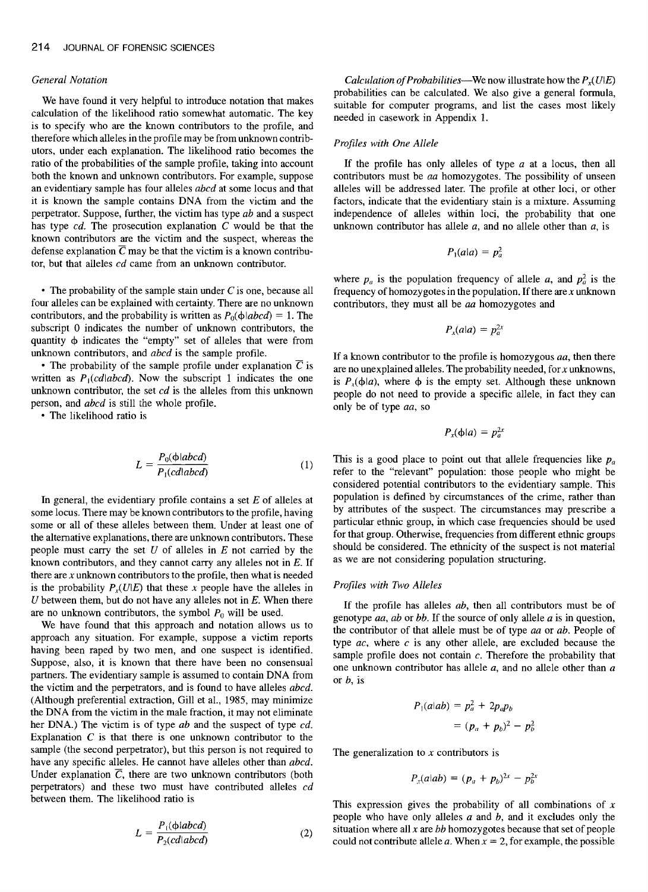#### *General Notation*

We have found it very helpful to introduce notation that makes calculation of the likelihood ratio somewhat automatic. The key is to specify who are the known contributors to the profile, and therefore which alleles in the profile may be from unknown contributors, under each explanation. The likelihood ratio becomes the ratio of the probabilities of the sample profile, taking into account both the known and unknown contributors. For example, suppose an evidentiary sample has four alleles *abcd* at some locus and that it is known the sample contains DNA from the victim and the perpetrator. Suppose, further, the victim has type *ab* and a suspect has type *cd.* The prosecution explanation C would be that the known contributors are the victim and the suspect, whereas the defense explanation  $\overline{C}$  may be that the victim is a known contributor, but that alleles *cd* came from an unknown contributor.

 $\cdot$  The probability of the sample stain under C is one, because all four alleles can be explained with certainty. There are no unknown contributors, and the probability is written as  $P_0(\phi|abcd) = 1$ . The subscript 0 indicates the number of unknown contributors, the quantity  $\phi$  indicates the "empty" set of alleles that were from unknown contributors, and *abcd* is the sample profile.

• The probability of the sample profile under explanation  $\overline{C}$  is written as  $P_1(c d | abcd)$ . Now the subscript 1 indicates the one unknown contributor, the set *cd* is the alleles from this unknown person, and *abcd* is still the whole profile.

• The likelihood ratio is

$$
L = \frac{P_0(\phi |abcd)}{P_1(cd|abcd)}\tag{1}
$$

In general, the evidentiary profile contains a set  $E$  of alleles at some locus. There may be known contributors to the profile, having some or all of these alleles between them. Under at least one of the alternative explanations, there are unknown contributors. These people must carry the set  $U$  of alleles in  $E$  not carried by the known contributors, and they cannot carry any alleles not in  $E$ . If there are  $x$  unknown contributors to the profile, then what is needed is the probability  $P_x(U|E)$  that these x people have the alleles in  $U$  between them, but do not have any alleles not in  $E$ . When there are no unknown contributors, the symbol  $P_0$  will be used.

We have found that this approach and notation allows us to approach any situation. For example, suppose a victim reports having been raped by two men, and one suspect is identified. Suppose, also, it is known that there have been no consensual partners. The evidentiary sample is assumed to contain DNA from the victim and the perpetrators, and is found to have alleles *abcd.*  (Although preferential extraction, Gill et al., 1985, may minimize the DNA from the victim in the male fraction, it may not eliminate her DNA.) The victim is of type *ab* and the suspect of type *cd.*  Explanation  $C$  is that there is one unknown contributor to the sample (the second perpetrator), but this person is not required to have any specific alleles. He cannot have alleles other than *abcd.*  Under explanation  $\overline{C}$ , there are two unknown contributors (both perpetrators) and these two must have contributed alleles *cd*  between them. The likelihood ratio is

$$
L = \frac{P_1(\phi \mid abcd)}{P_2(cd \mid abcd)} \tag{2}
$$

*Calculation of Probabilities*—We now illustrate how the  $P_{r}(U|E)$ probabilities can be calculated. We also give a general formula, suitable for computer programs, and list the cases most likely needed in casework in Appendix 1.

#### *Profiles with One Allele*

If the profile has only alleles of type  $a$  at a locus, then all contributors must be *aa* homozygotes. The possibility of unseen alleles will be addressed later. The profile at other loci, or other factors, indicate that the evidentiary stain is a mixture. Assuming independence of alleles within loci, the probability that one unknown contributor has allele  $a$ , and no allele other than  $a$ , is

$$
P_1(a|a) = p_a^2
$$

where  $p_a$  is the population frequency of allele a, and  $p_a^2$  is the frequency of homozygotes in the population. If there are  $x$  unknown contributors, they must all be *aa* homozygotes and

$$
P_x(a|a) = p_a^{2x}
$$

If a known contributor to the profile is homozygous *aa,* then there are no unexplained alleles. The probability needed, for  $x$  unknowns, is  $P_x(\phi|a)$ , where  $\phi$  is the empty set. Although these unknown people do not need to provide a specific allele, in fact they can only be of type *aa,* so

$$
P_x(\phi|a) = p_a^{2x}
$$

This is a good place to point out that allele frequencies like  $p_a$ refer to the "relevant" population: those people who might be considered potential contributors to the evidentiary sample. This population is defined by circumstances of the crime, rather than by attributes of the suspect. The circumstances may prescribe a particular ethnic group, in which case frequencies should be used for that group. Otherwise, frequencies from different ethnic groups should be considered. The ethnicity of the suspect is not material as we are not considering population structuring.

## *Profiles with Two Alleles*

If the profile has alleles *ab,* then all contributors must be of genotype *aa, ab* or *bb.* If the source of only allele a is in question, the contributor of that allele must be of type *aa* or *ab.* People of type *ac,* where c is any other allele, are excluded because the sample profile does not contain  $c$ . Therefore the probability that one unknown contributor has allele  $a$ , and no allele other than  $a$ or  $b$ , is

$$
P_1(a|ab) = p_a^2 + 2p_a p_b
$$

$$
= (p_a + p_b)^2 - p_b^2
$$

The generalization to  $x$  contributors is

$$
P_x(a|ab) = (p_a + p_b)^{2x} - p_b^{2x}
$$

This expression gives the probability of all combinations of  $x$ people who have only alleles  $a$  and  $b$ , and it excludes only the situation where all x are *bb* homozygotes because that set of people could not contribute allele a. When  $x = 2$ , for example, the possible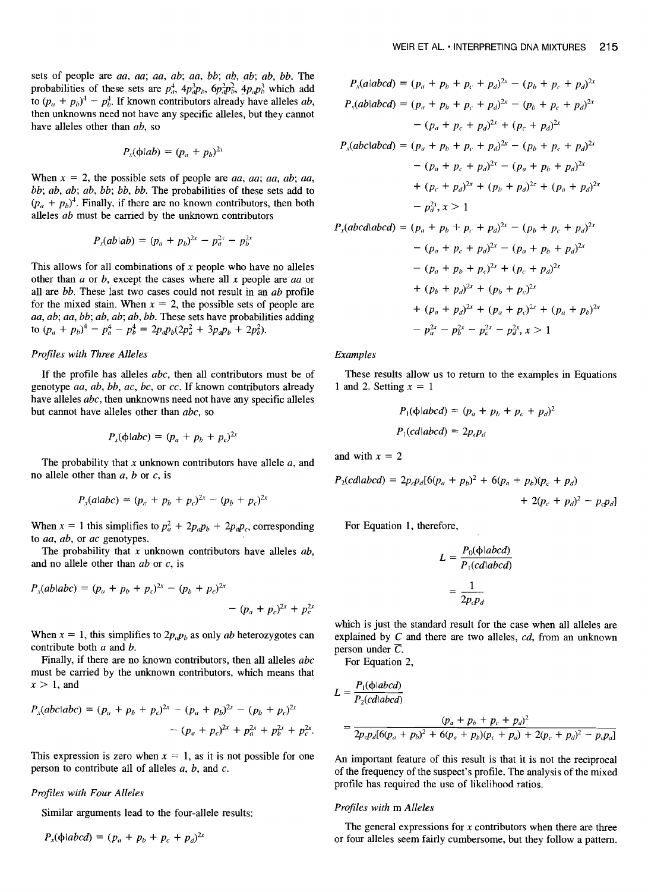sets of people are *aa, aa; aa, ab; aa, bb; ab, ab; ab, bb.* The probabilities of these sets are  $p_a^4$ ,  $4p_b^3p_b$ ,  $6p_a^2p_b^2$ ,  $4p_a p_b^3$  which add to  $(p_a + p_b)^4 - p_b^4$ . If known contributors already have alleles *ab*, then unknowns need not have any specific alleles, but they cannot have alleles other than *ab,* so

$$
P_{x}(\phi|ab) = (p_a + p_b)^{2x}
$$

When  $x = 2$ , the possible sets of people are *aa*, *aa*; *aa*, *ab*; *aa*, *bb; ab, ab; ab, bb; bb, bb.* The probabilities of these sets add to  $(p_a + p_b)^4$ . Finally, if there are no known contributors, then both alleles *ab* must be carried by the unknown contributors

$$
P_x(ab|ab) = (p_a + p_b)^{2x} - p_a^{2x} - p_b^{2x}
$$

This allows for all combinations of  $x$  people who have no alleles other than a or b, except the cases where all x people are *aa* or all are *bb.* These last two cases could not result in an *ab* profile for the mixed stain. When  $x = 2$ , the possible sets of people are *aa, ab; aa, bb; ab, ab; ab, bb.* These sets have probabilities adding to  $(p_a + p_b)^4 - p_a^4 - p_b^4 = 2p_a p_b (2p_a^2 + 3p_a p_b + 2p_b^2)$ .

## *Profiles with Three Alleles*

If the profile has alleles *abc,* then all contributors must be of genotype *aa, ab, bb, ac, bc,* or *cc.* If known contributors already have alleles *abc,* then unknowns need not have any specific alleles but cannot have alleles other than *abc,* so

$$
P_x(\phi|abc) = (p_a + p_b + p_c)^{2x}
$$

The probability that x unknown contributors have allele  $a$ , and no allele other than  $a, b$  or  $c,$  is

$$
P_x(a|abc) = (p_a + p_b + p_c)^{2x} - (p_b + p_c)^{2x}
$$

When  $x = 1$  this simplifies to  $p_a^2 + 2p_a p_b + 2p_a p_c$ , corresponding to *aa, ab,* or *ac* genotypes.

The probability that x unknown contributors have alleles *ab,*  and no allele other than *ab* or c, is

$$
P_x(ab \mid abc) = (p_a + p_b + p_c)^{2x} - (p_b + p_c)^{2x} - (p_a + p_c)^{2x} + p_c^{2x}
$$

When  $x = 1$ , this simplifies to  $2p_a p_b$  as only *ab* heterozygotes can contribute both a and b.

Finally, if there are no known contributors, then all alleles *abc*  must be carried by the unknown contributors, which means that  $x > 1$ , and

$$
P_x(abc|abc) = (p_a + p_b + p_c)^{2x} - (p_a + p_b)^{2x} - (p_b + p_c)^{2x}
$$

$$
- (p_a + p_c)^{2x} + p_a^{2x} + p_b^{2x} + p_c^{2x}.
$$

This expression is zero when  $x = 1$ , as it is not possible for one person to contribute all of alleles  $a, b$ , and  $c$ .

## *Profiles with Four Alleles*

Similar arguments lead to the four-allele results:

$$
P_x(\phi|abcd) = (p_a + p_b + p_c + p_d)^{2x}
$$

$$
P_x(a|abcd) = (p_a + p_b + p_c + p_d)^{2x} - (p_b + p_c + p_d)^{2x}
$$
  
\n
$$
P_x(ab|abcd) = (p_a + p_b + p_c + p_d)^{2x} - (p_b + p_c + p_d)^{2x}
$$
  
\n
$$
- (p_a + p_c + p_d)^{2x} + (p_c + p_d)^{2x}
$$
  
\n
$$
P_x(abc|abcd) = (p_a + p_b + p_c + p_d)^{2x} - (p_b + p_c + p_d)^{2x}
$$
  
\n
$$
- (p_a + p_c + p_d)^{2x} - (p_a + p_b + p_d)^{2x}
$$
  
\n
$$
+ (p_c + p_d)^{2x} + (p_b + p_d)^{2x} + (p_a + p_d)^{2x}
$$
  
\n
$$
- p_d^{2x}, x > 1
$$
  
\n
$$
P_x(abcd|abcd) = (p_a + p_b + p_c + p_d)^{2x} - (p_b + p_c + p_d)^{2x}
$$
  
\n
$$
- (p_a + p_c + p_d)^{2x} - (p_a + p_b + p_d)^{2x}
$$
  
\n
$$
- (p_a + p_b + p_c)^{2x} + (p_c + p_d)^{2x}
$$
  
\n
$$
+ (p_b + p_d)^{2x} + (p_a + p_c)^{2x} + (p_a + p_b)^{2x}
$$
  
\n
$$
- p_d^{2x} - p_d^{2x} - p_d^{2x}, x > 1
$$

*Examples* 

These results allow us to return to the examples in Equations 1 and 2. Setting  $x = 1$ 

$$
P_1(\phi | abcd) = (p_a + p_b + p_c + p_d)^2
$$
  

$$
P_1(cd | abcd) = 2p_c p_d
$$

and with  $x = 2$ 

$$
P_2(cdlabcd) = 2p_c p_d [6(p_a + p_b)^2 + 6(p_a + p_b)(p_c + p_d) + 2(p_c + p_d)^2 - p_c p_d]
$$

For Equation 1, therefore,

$$
L = \frac{P_0(\phi | abcd)}{P_1(cd | abcd)}
$$

$$
= \frac{1}{2p_c p_d}
$$

which is just the standard result for the case when all alleles are explained by C and there are two alleles, *cd,* from an unknown person under  $\overline{C}$ .

For Equation 2,

$$
L = \frac{P_1(\phi | abcd)}{P_2(cdiabcd)}
$$
  
= 
$$
\frac{(p_a + p_b + p_c + p_d)^2}{2p_c p_d [6(p_a + p_b)^2 + 6(p_a + p_b)(p_c + p_d) + 2(p_c + p_d)^2 - p_c p_d]}
$$

An important feature of this result is that it is not the reciprocal of the frequency of the suspect's profile. The analysis of the mixed profile has required the use of likelihood ratios.

#### *Profiles with m Alleles*

The general expressions for x contributors when there are three or four alleles seem fairly cumbersome, but they follow a pattern.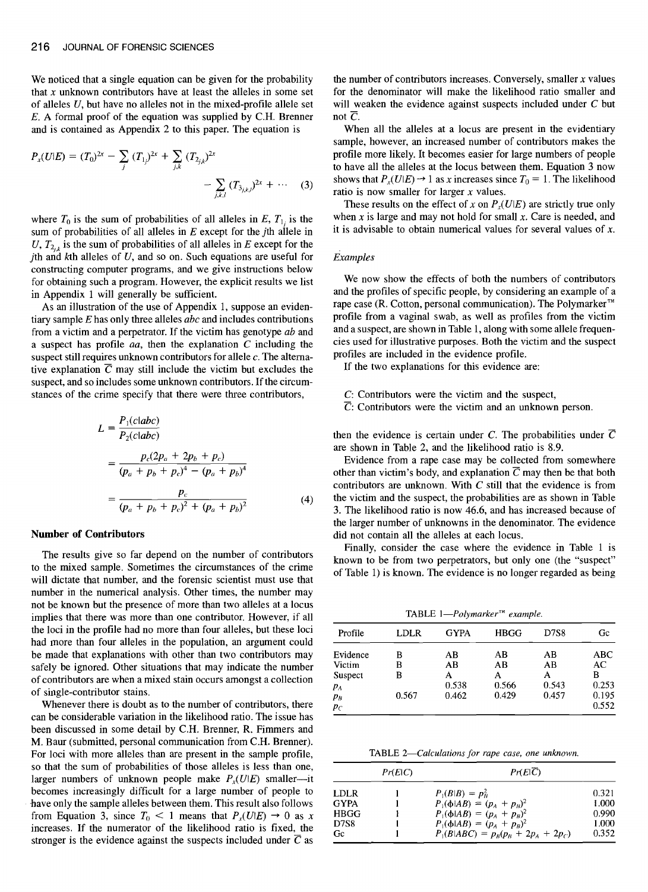We noticed that a single equation can be given for the probability that  $x$  unknown contributors have at least the alleles in some set of alleles U, but have no alleles not in the mixed-profile allele set E. A formal proof of the equation was supplied by C.H. Brenner and is contained as Appendix 2 to this paper. The equation is

$$
P_x(U|E) = (T_0)^{2x} - \sum_j (T_{1j})^{2x} + \sum_{j,k} (T_{2jk})^{2x} - \sum_{j,k,l} (T_{3jk,l})^{2x} + \cdots
$$
 (3)

where  $T_0$  is the sum of probabilities of all alleles in E,  $T_1$  is the sum of probabilities of all alleles in  $E$  except for the *j*th allele in U,  $T_{2i}$  is the sum of probabilities of all alleles in E except for the jth and  $k$ th alleles of  $U$ , and so on. Such equations are useful for constructing computer programs, and we give instructions below for obtaining such a program. However, the explicit results we list in Appendix 1 will generally be sufficient.

As an illustration of the use of Appendix 1, suppose an evidentiary sample E has only three alleles *abe* and includes contributions **from** a victim and a perpetrator. If the victim has genotype *ab* and a suspect has profile *aa,* then the explanation C including the suspect still requires unknown contributors for allele c. The alternative explanation  $\overline{C}$  may still include the victim but excludes the suspect, and so includes some unknown contributors. If the circumstances of the crime specify that there were three contributors,

$$
L = \frac{P_1(c|abc)}{P_2(c|abc)}
$$
  
= 
$$
\frac{p_c(2p_a + 2p_b + p_c)}{(p_a + p_b + p_c)^4 - (p_a + p_b)^4}
$$
  
= 
$$
\frac{p_c}{(p_a + p_b + p_c)^2 + (p_a + p_b)^2}
$$
(4)

#### **Number of Contributors**

The results give so far depend on the number of contributors to the mixed sample. Sometimes the circumstances of the crime will dictate that number, and the forensic scientist must use that number in the numerical analysis. Other times, the number may not be known but the presence of more than two alleles at a locus implies that there was more than one contributor. However, if all the loci in the profile had no more than four alleles, but these loci had more than four alleles in the population, an argument could be made that explanations with other than two contributors may safely be ignored. Other situations that may indicate the number of contributors are when a mixed stain occurs amongst a collection **of** single-contributor stains.

Whenever there is doubt as to the number of contributors, there can be considerable variation in the likelihood ratio. The issue has **been** discussed in some detail by C.H. Brenner, R. Fimmers and M. Baur (submitted, personal communication from C.H. Brenner). For loci with more alleles than are present in the sample profile, so that the sum of probabilities of those alleles is less than one, larger numbers of unknown people make  $P_r(U|E)$  smaller---it becomes increasingly difficult for a large number of people to have only the sample alleles between them. This result also follows from Equation 3, since  $T_0 < 1$  means that  $P_x(U|E) \rightarrow 0$  as x increases. If the numerator of the likelihood ratio is fixed, the stronger is the evidence against the suspects included under  $\overline{C}$  as

the number of contributors increases. Conversely, smaller  $x$  values for the denominator will make the likelihood ratio smaller and will weaken the evidence against suspects included under C but not  $\overline{C}$ .

When all the alleles at a locus are present in the evidentiary sample, however, an increased number of contributors makes the profile more likely. It becomes easier for large numbers of people to have all the alleles at the locus between them. Equation 3 now shows that  $P_x(U|E) \rightarrow 1$  as x increases since  $T_0 = 1$ . The likelihood ratio is now smaller for larger  $x$  values.

These results on the effect of x on  $P_x(U|E)$  are strictly true only when  $x$  is large and may not hold for small  $x$ . Care is needed, and it is advisable to obtain numerical values for several values of  $x$ .

#### *Examples*

We now show the effects of both the numbers of contributors and the profiles of specific people, by considering an example of a rape case (R. Cotton, personal communication). The Polymarker<sup>TM</sup> profile from a vaginal swab, as well as profiles from the victim and a suspect, are shown in Table 1, along with some allele frequencies used for illustrative purposes. Both the victim and the suspect profiles are included in the evidence profile.

If the two explanations for this evidence are:

- C: Contributors were the victim and the suspect,
- $\overline{C}$ : Contributors were the victim and an unknown person.

then the evidence is certain under C. The probabilities under  $\overline{C}$ are shown in Table 2, and the likelihood ratio is 8.9.

Evidence from a rape case may be collected from somewhere other than victim's body, and explanation  $\overline{C}$  may then be that both contributors are unknown. With  $C$  still that the evidence is from the victim and the suspect, the probabilities are as shown in Table 3. The likelihood ratio is now 46.6, and has increased because of the larger number of unknowns in the denominator. The evidence did not contain all the alleles at each locus.

Finally, consider the case where the evidence in Table 1 is known to be from two perpetrators, but only one (the "suspect" of Table 1) is known. The evidence is no longer regarded as being

TABLE *1--Polymarker TM example.* 

| Profile  | LDLR  | <b>GYPA</b> | <b>HBGG</b> | D7S8  | Gc    |
|----------|-------|-------------|-------------|-------|-------|
| Evidence | в     | AВ          | AB          | AB    | ABC   |
| Victim   | B     | AB          | AB          | AB    | AC    |
| Suspect  | B     | A           | А           | A     | в     |
| $P_A$    |       | 0.538       | 0.566       | 0.543 | 0.253 |
| $p_B$    | 0.567 | 0.462       | 0.429       | 0.457 | 0.195 |
| $p_C$    |       |             |             |       | 0.552 |

TABLE *2--Calculations for rape case, one unknown.* 

|             | Pr(E C) | $Pr(E \overline{C})$                            |       |
|-------------|---------|-------------------------------------------------|-------|
| <b>LDLR</b> |         | $P_1(B B) = p_R^2$                              | 0.321 |
| <b>GYPA</b> |         | $P_1(\phi AB) = (p_A + p_B)^2$                  | 1.000 |
| <b>HBGG</b> |         | $P_{\perp}(\phi AB) = (p_A + p_B)^2$            | 0.990 |
| <b>D7S8</b> |         | $P_{\perp}(\phi AB) = (p_A + p_B)^2$            | 1.000 |
| Gc.         |         | $P_{1}(B ABC) = p_{B}(p_{B} + 2p_{A} + 2p_{C})$ | 0.352 |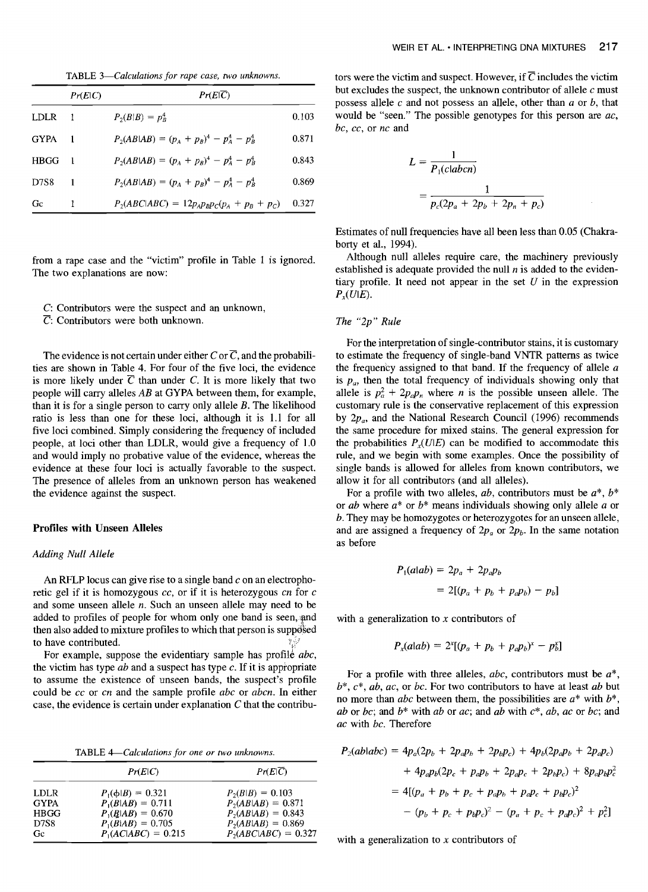TABLE *3--Calculations for rape case, two unknowns.* 

|             | Pr(E C)        | Pr(E C)                                         |       |
|-------------|----------------|-------------------------------------------------|-------|
| <b>LDLR</b> | $\blacksquare$ | $P_2(B B) = p_R^4$                              | 0.103 |
| <b>GYPA</b> |                | $P_2(AB AB) = (p_A + p_B)^4 - p_A^4 - p_B^4$    | 0.871 |
| <b>HBGG</b> |                | $P_2(AB AB) = (p_A + p_B)^4 - p_A^4 - p_B^4$    | 0.843 |
| D7S8        |                | $P_2(AB AB) = (p_A + p_B)^4 - p_A^4 - p_B^4$    | 0.869 |
| Gc          |                | $P_2(ABC ABC) = 12p_A p_B p_C(p_A + p_B + p_C)$ | 0.327 |

from a rape case and the "victim" profile in Table 1 is ignored. The two explanations are now:

- C: Contributors were the suspect and an unknown,
- $\overline{C}$ : Contributors were both unknown.

The evidence is not certain under either C or  $\overline{C}$ , and the probabilities are shown in Table 4. For four of the five loci, the evidence is more likely under  $\overline{C}$  than under C. It is more likely that two people will carry alleles *AB* at GYPA between them, for example, than it is for a single person to carry only allele  $B$ . The likelihood ratio is less than one for these loci, although it is 1.1 for all five loci combined. Simply considering the frequency of included people, at loci other than LDLR, would give a frequency of 1.0 and would imply no probative value of the evidence, whereas the evidence at these four loci is actually favorable to the suspect. The presence of alleles from an unknown person has weakened the evidence against the suspect.

## **Profiles with Unseen Alleles**

### *Adding Null Allele*

An RFLP locus can give rise to a single band  $c$  on an electrophoretic gel if it is homozygous *cc,* or if it is heterozygous *cn* for c and some unseen allele n. Such an unseen allele may need to be added to profiles of people for whom only one band is seen, and then also added to mixture profiles to which that person is supposed to have contributed.

For example, suppose the evidentiary sample has profile *abc*, the victim has type *ab* and a suspect has type c. If it is appropriate to assume the existence of unseen bands, the suspect's profile could be *cc* or *cn* and the sample profile *abc* or *abcn.* In either case, the evidence is certain under explanation  $C$  that the contribu-

TABLE *4--Calculations for one or two unknowns.* 

|             | Pr(E C)               | $Pr(E \overline{C})$   |
|-------------|-----------------------|------------------------|
| <b>LDLR</b> | $P_1(\phi B) = 0.321$ | $P_2(B B) = 0.103$     |
| <b>GYPA</b> | $P_1(B AB) = 0.711$   | $P_2(AB AB) = 0.871$   |
| <b>HBGG</b> | $P_1(B AB) = 0.670$   | $P_2(AB AB) = 0.843$   |
| D7S8        | $P_{1}(B AB) = 0.705$ | $P_2(AB AB) = 0.869$   |
| Gc.         | $P_1(AC ABC) = 0.215$ | $P_2(ABC ABC) = 0.327$ |

tors were the victim and suspect. However, if  $\overline{C}$  includes the victim but excludes the suspect, the unknown contributor of allele  $c$  must possess allele  $c$  and not possess an allele, other than  $a$  or  $b$ , that would be "seen." The possible genotypes for this person are *ac, bc, cc,* or *nc and* 

$$
L = \frac{1}{P_1(clabor)}
$$
  
= 
$$
\frac{1}{p_c(2p_a + 2p_b + 2p_n + p_c)}
$$

Estimates of null frequencies have all been less than 0.05 (Chakraborty et al., 1994).

Although null alleles require care, the machinery previously established is adequate provided the null  $n$  is added to the evidentiary profile. It need not appear in the set  $U$  in the expression  $P<sub>x</sub>(U|E)$ .

## *The "2p" Rule*

For the interpretation of single-contributor stains, it is customary to estimate the frequency of single-band VNTR patterns as twice the frequency assigned to that band. If the frequency of allele  $a$ is  $p_a$ , then the total frequency of individuals showing only that allele is  $p_a^2 + 2p_a p_n$  where *n* is the possible unseen allele. The customary rule is the conservative replacement of this expression by  $2p_a$ , and the National Research Council (1996) recommends the same procedure for mixed stains. The general expression for the probabilities  $P<sub>x</sub>(U|E)$  can be modified to accommodate this rule, and we begin with some examples. Once the possibility of single bands is allowed for alleles from known contributors, we allow it for all contributors (and all alleles).

For a profile with two alleles,  $ab$ , contributors must be  $a^*$ ,  $b^*$ or *ab* where a\* or b\* means individuals showing only allele a or b. They may be homozygotes or heterozygotes for an unseen allele, and are assigned a frequency of  $2p_a$  or  $2p_b$ . In the same notation as before

$$
P_1(a|ab) = 2p_a + 2p_a p_b
$$
  
= 2[(p\_a + p\_b + p\_a p\_b) - p\_b]

with a generalization to  $x$  contributors of

$$
P_{x}(alab) = 2^{x}[(p_{a} + p_{b} + p_{a}p_{b})^{x} - p_{b}^{x}]
$$

For a profile with three alleles, *abc,* contributors must be a\*, b\*, c\*, *ab, ac,* or *bc.* For two contributors to have at least *ab* but no more than *abc* between them, the possibilities are  $a^*$  with  $b^*$ , *ab* or *bc*; and  $b^*$  with *ab* or *ac*; and *ab* with  $c^*$ , *ab*, *ac* or *bc*; and *ac* with *bc.* Therefore

$$
P_2(ab \mid abc) = 4p_a(2p_b + 2p_a p_b + 2p_b p_c) + 4p_b(2p_a p_b + 2p_a p_c)
$$
  
+ 
$$
4p_a p_b(2p_c + p_a p_b + 2p_a p_c + 2p_b p_c) + 8p_a p_b p_c^2
$$
  
= 
$$
4[(p_a + p_b + p_c + p_a p_b + p_a p_c + p_b p_c)^2
$$
  
- 
$$
(p_b + p_c + p_b p_c)^2 - (p_a + p_c + p_a p_c)^2 + p_c^2]
$$

with a generalization to  $x$  contributors of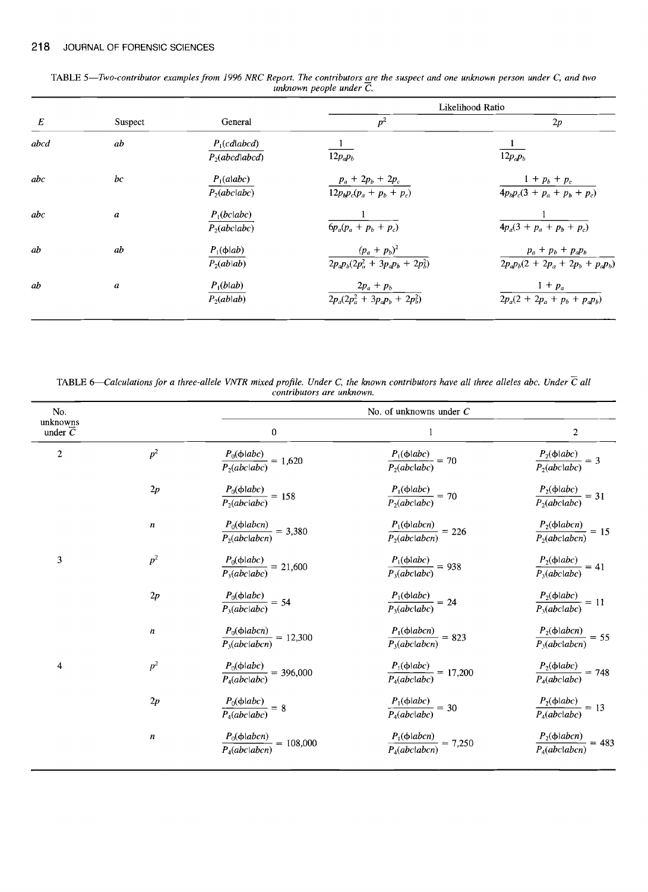|         |                                    |                                                                         | Likelihood Ratio                                                |
|---------|------------------------------------|-------------------------------------------------------------------------|-----------------------------------------------------------------|
| Suspect | General                            | $p^2$                                                                   | 2p                                                              |
| ab      | $P_1(cdlabcd)$<br>$P_2(abcd abcd)$ | $12p_a p_b$                                                             | $12p_a p_b$                                                     |
| bc      | $P_1$ (alabc)<br>$P_2(abc abc)$    | $p_a + 2p_b + 2p_c$<br>$\frac{12p_b p_c(p_a + p_b + p_c)}{12p_b p_c^2}$ | $1 + p_b + p_c$<br>$4p_b p_c(3 + p_a + p_b + p_c)$              |
| a       | $P_1(bc abc)$<br>$P_2(abc abc)$    | $6p_a(p_a + p_b + p_c)$                                                 | $4p_a(3 + p_a + p_b + p_c)$                                     |
| ab      | $P_1(\phi ab)$<br>$P_2(ab ab)$     | $(p_a + p_b)^2$<br>$\frac{1}{2p_a p_b (2p_a^2 + 3p_a p_b + 2p_b^2)}$    | $p_a + p_b + p_a p_b$<br>$2p_a p_b (2 + 2p_a + 2p_b + p_a p_b)$ |
| a       | $P_1(b ab)$<br>$P_2(ab ab)$        | $2p_a + p_b$<br>$\overline{2p_a(2p_a^2+3p_ap_b+2p_b^2)}$                | $1+p_a$<br>$2p_a(2 + 2p_a + p_b + p_a p_b)$                     |
|         |                                    |                                                                         |                                                                 |

TABLE 5—Two-contributor examples from 1996 NRC Report. The contributors <u>a</u>re the suspect and one unknown person under C, and two *unknown people under C.* 

TABLE 6—Calculations for a three-allele VNTR mixed profile. Under C, the known contributors have all three alleles abc. Under  $\overline{C}$  all *contributors are unknown.* 

| No.                              |                  |                                                           | No. of unknowns under $C$                            |                                                       |
|----------------------------------|------------------|-----------------------------------------------------------|------------------------------------------------------|-------------------------------------------------------|
| unknowns<br>under $\overline{C}$ |                  | 0                                                         | 1                                                    | 2                                                     |
| $\mathbf{2}$                     | p <sup>2</sup>   | $\frac{P_0(\phi abc)}{P_2(abc abc)} = 1{,}620$            | $\frac{P_i(\phi abc)}{P_2(abc abc)} = 70$            | $\frac{P_2(\phi abc)}{P_2(abc abc)} = 3$              |
|                                  | 2p               | $\frac{P_0(\phi \mid abc)}{P_2(abc \mid abc)} = 158$      | $\frac{P_1(\phi abc)}{P_2(abc abc)} = 70$            | $\frac{P_2(\phi \mid abc)}{P_2(abc \mid abc)} = 31$   |
|                                  | n                | $\frac{P_0(\phi abcn)}{P_2(abclabcn)} = 3,380$            | $\frac{P_1(\phi abcn)}{P_2(abc abcn)} = 226$         | $\frac{P_2(\phi \mid abcn)}{P_2(abc \mid abcn)} = 15$ |
| 3                                | $p^2$            | $\frac{P_0(\phi abc)}{P_3(abc abc)} = 21,600$             | $\frac{P_1(\phi \mid abc)}{P_3(abc \mid abc)} = 938$ | $\frac{P_2(\phi abc)}{P_3(abc abc)} = 41$             |
|                                  | $2p\,$           | $\frac{P_0(\phi abc)}{P_3(abc abc)} = 54$                 | $\frac{P_1(\phi \mid abc)}{P_3(abc \mid abc)} = 24$  | $\frac{P_2(\phi abc)}{P_3(abc abc)} = 11$             |
|                                  | $\boldsymbol{n}$ | $\frac{P_0(\phi \mid abcn)}{P_3(abc \mid abcn)} = 12,300$ | $\frac{P_1(\phi abcn)}{P_3(abclabcn)} = 823$         | $\frac{P_2(\phi abcn)}{P_3(abc abcn)} = 55$           |
| 4                                | p <sup>2</sup>   | $\frac{P_0(\phi abc)}{P_4(abc abc)} = 396,000$            | $\frac{P_1(\phi abc)}{P_4(abc abc)} = 17,200$        | $\frac{P_2(\phi \mid abc)}{P_4(abc \mid abc)} = 748$  |
|                                  | 2p               | $\frac{P_0(\phi abc)}{P_4(abc abc)}=8$                    | $\frac{P_1(\phi abc)}{P_4(abc abc)} = 30$            | $\frac{P_2(\phi abc)}{P_4(abc abc)} = 13$             |
|                                  | n                | $\frac{P_0(\phi abcn)}{P_4(abclabcn)} = 108,000$          | $\frac{P_1(\phi abcn)}{P_4(abclabcn)} = 7,250$       | $\frac{P_2(\phi abcn)}{P_4(abc abcn)} = 483$          |
|                                  |                  |                                                           |                                                      |                                                       |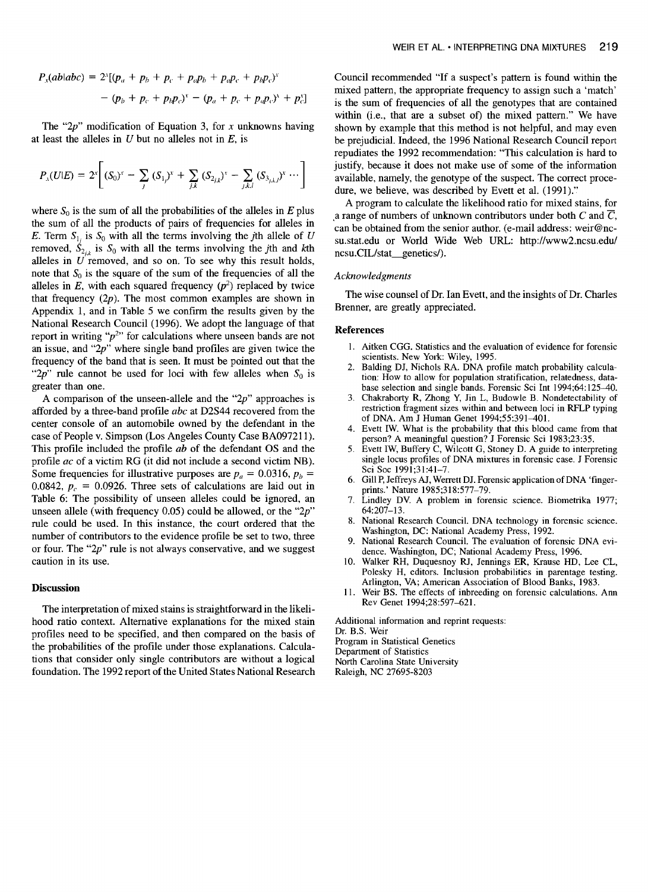$$
P_x(ab \mid abc) = 2^{x}[(p_a + p_b + p_c + p_a p_b + p_a p_c + p_b p_c)^{x}
$$
  
-  $(p_b + p_c + p_b p_c)^{x} - (p_a + p_c + p_a p_c)^{x} + p_c^{x}]$ 

The " $2p$ " modification of Equation 3, for x unknowns having at least the alleles in  $U$  but no alleles not in  $E$ , is

$$
P_{\Lambda}(U|E) = 2^{x} \bigg[ (S_{0})^{x} - \sum_{j} (S_{1j})^{x} + \sum_{j,k} (S_{2j,k})^{x} - \sum_{j,k,l} (S_{3j,k,l})^{x} \cdots \bigg]
$$

where  $S_0$  is the sum of all the probabilities of the alleles in E plus the sum of all the products of pairs of frequencies for alleles in E. Term  $S_{1i}$  is  $S_0$  with all the terms involving the jth allele of U removed,  $\dot{S}_{2i}$  is  $S_0$  with all the terms involving the *j*th and *k*th alleles in  $U$  removed, and so on. To see why this result holds, note that  $S_0$  is the square of the sum of the frequencies of all the alleles in E, with each squared frequency  $(p^2)$  replaced by twice that frequency  $(2p)$ . The most common examples are shown in Appendix 1, and in Table 5 we confirm the results given by the National Research Council (1996). We adopt the language of that report in writing " $p^{2}$ " for calculations where unseen bands are not an issue, and "2p" where single band profiles are given twice the frequency of the band that is seen. It must be pointed out that the " $2p$ " rule cannot be used for loci with few alleles when  $S_0$  is greater than one.

A comparison of the unseen-allele and the " $2p$ " approaches is afforded by a three-band profile *abc* at D2S44 recovered from the center console of an automobile owned by the defendant in the case of People v. Simpson (Los Angeles County Case BA097211). This profile included the profile *ab* of the defendant OS and the profile *ac* of a victim RG (it did not include a second victim NB). Some frequencies for illustrative purposes are  $p_a = 0.0316$ ,  $p_b =$ 0.0842,  $p_c = 0.0926$ . Three sets of calculations are laid out in Table 6: The possibility of unseen alleles could be ignored, an unseen allele (with frequency  $0.05$ ) could be allowed, or the "2p" rule could be used. In this instance, the court ordered that the number of contributors to the evidence profile be set to two, three or four. The " $2p$ " rule is not always conservative, and we suggest caution in its use.

#### **Discussion**

The interpretation of mixed stains is straightforward in the likelihood ratio context. Alternative explanations for the mixed stain profiles need to be specified, and then compared on the basis of the probabilities of the profile under those explanations. Calculations that consider only single contributors are without a logical foundation. The 1992 report of the United States National Research

Council recommended "If a suspect's pattern is found within the mixed pattern, the appropriate frequency to assign such a 'match' is the sum of frequencies of all the genotypes that are contained within (i.e., that are a subset of) the mixed pattern." We have shown by example that this method is not helpful, and may even be prejudicial. Indeed, the 1996 National Research Council report repudiates the 1992 recommendation: "This calculation is hard to justify, because it does not make use of some of the information available, namely, the genotype of the suspect. The correct procedure, we believe, was described by Evett et al. (1991)."

A program to calculate the likelihood ratio for mixed stains, for a range of numbers of unknown contributors under both C and  $\overline{C}$ , can be obtained from the senior author. (e-mail address: weir@ncsu.stat.edu or World Wide Web URL: http://www2.ncsu.edu/ ncsu.CIL/stat\_\_\_genetics/).

#### *Acknowledgments*

The wise counsel of Dr. Ian Evett, and the insights of Dr. Charles Brenner, are greatly appreciated.

#### **References**

- 1. Aitken CGG. Statistics and the evaluation of evidence for forensic scientists. New York: Wiley, 1995.
- 2. Balding DJ, Nichols RA. DNA profile match probability calculation: How to allow for population stratification, relatedness, database selection and single bands. Forensic Sci Int 1994;64:125-40.
- 3. Chakraborty R, Zhong Y, Jin L, Budowle B. Nondetectability of restriction fragment sizes within and between loci in RFLP typing of DNA. Am J Human Genet 1994;55:391-401.
- 4. Evett IW. What is the probability that this blood came from that person? A meaningful question? J Forensic Sci 1983;23:35.
- 5. Evett IW, Buffery C, Wilcott G, Stoney D. A guide to interpreting single locus profiles of DNA mixtures in forensic case. J Forensic Sci Soc 1991;31:41-7.
- 6. Gill P, Jeffreys AJ, Werrett DJ. Forensic application of DNA 'fingerprints.' Nature 1985;318:577-79.
- 7. Lindley DV. A problem in forensic science. Biometrika 1977; 64:207-13.
- National Research Council. DNA technology in forensic science. Washington, DC: National Academy Press, 1992.
- 9. National Research Council. The evaluation of forensic DNA evidence. Washington, DC; National Academy Press, 1996.
- 10. Walker RH, Duquesnoy RJ, Jennings ER, Krause HD, Lee CL, Polesky H, editors. Inclusion probabilities in parentage testing. Arlington, VA; American Association of Blood Banks, 1983.
- 11. Weir BS. The effects of inbreeding on forensic calculations. Ann Rev Genet 1994;28:597-621.

Additional information and reprint requests: Dr. B.S. Weir Program in Statistical Genetics Department of Statistics North Carolina State University Raleigh, NC 27695-8203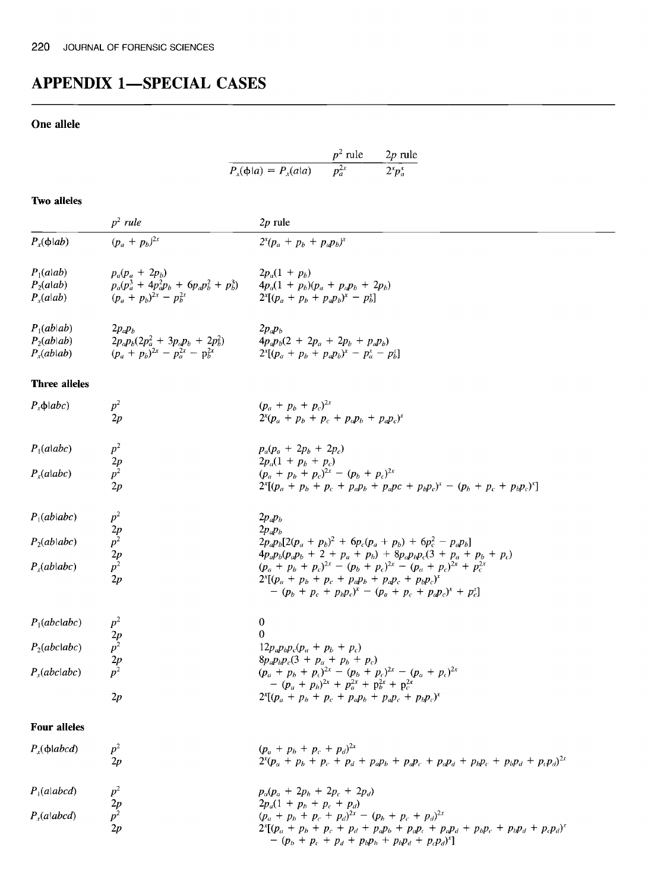# **APPENDIX 1-SPECIAL CASES**

# **One allele**

|                          | $p^2$ rule | $2p$ rule   |
|--------------------------|------------|-------------|
| $P_x(\phi a) = P_x(a a)$ | $p_a^{2x}$ | $2^x p_a^x$ |

# **Two alleles**

|                     | $p^2$ rule                                              | $2p$ rule                                                                                                                 |
|---------------------|---------------------------------------------------------|---------------------------------------------------------------------------------------------------------------------------|
| $P_x(\phi ab)$      | $(p_a + p_b)^{2x}$                                      | $2^{x}(p_{a} + p_{b} + p_{a}p_{b})^{x}$                                                                                   |
| $P_1(a ab)$         | $p_a(p_a + 2p_b)$                                       | $2p_a(1 + p_b)$                                                                                                           |
| $P_2(alab)$         |                                                         | $p_a(p_a^3 + 4p_a^2p_b + 6p_ap_b^2 + p_b^3)$ $4p_a(1 + p_b)(p_a + p_ap_b + 2p_b)$                                         |
| $P_{r}(alab)$       | $(p_a + p_b)^{2x} - p_b^{2x}$                           | $2^{x}[(p_a + p_b + p_a p_b)^{x} - p_b^{x}]$                                                                              |
| $P_1(ab ab)$        | $2p_a p_b$                                              | $2p_a p_b$                                                                                                                |
| $P_2(ab ab)$        | $2p_a p_b (2p_a^2 + 3p_a p_b + 2p_b^2)$                 | $4p_a p_b (2 + 2p_a + 2p_b + p_a p_b)$                                                                                    |
| $P_x(ab ab)$        | $(p_a + p_b)^{2x} - p_a^{2x} - p_b^{2x}$                | $2^{x}[(p_{a} + p_{b} + p_{a}p_{b})^{x} - p_{a}^{x} - p_{b}^{x}]$                                                         |
| Three alleles       |                                                         |                                                                                                                           |
| $P_x \phi   abc)$   | $p^2$                                                   | $(p_a + p_b + p_c)^{2x}$                                                                                                  |
|                     | 2p                                                      | $2^{x}(p_{a} + p_{b} + p_{c} + p_{a}p_{b} + p_{a}p_{c})^{x}$                                                              |
| $P_1$ (alabc)       | $p^2$                                                   | $p_a(p_a + 2p_b + 2p_c)$                                                                                                  |
|                     |                                                         | $2p_a(1 + p_b + p_c)$                                                                                                     |
| $P_x$ (alabc)       | $\frac{2p}{p^2}$                                        | $(p_a + p_b + p_c)^{2x} - (p_b + p_c)^{2x}$                                                                               |
|                     | 2p                                                      | $2^{x}[(p_a + p_b + p_c + p_a p_b + p_a pc + p_b p_c)^{x} - (p_b + p_c + p_b p_c)^{x}]$                                   |
| $P_1(ab \mid abc)$  |                                                         | $2p_a p_b$                                                                                                                |
|                     |                                                         | $2p_a p_b$                                                                                                                |
| $P_2(ab \mid abc)$  |                                                         | $2p_a p_b [2(p_a + p_b)^2 + 6p_c (p_a + p_b) + 6p_c^2 - p_a p_b]$                                                         |
|                     | $p^2$<br>$2p$<br>$p^2$<br>$2p$<br>$p^2$                 | $4p_a p_b (p_a p_b + 2 + p_a + p_b) + 8p_a p_b p_c (3 + p_a + p_b + p_c)$                                                 |
| $P_x(ab abc)$       |                                                         | $(p_a + p_b + p_c)^{2x} - (p_b + p_c)^{2x} - (p_a + p_c)^{2x} + p_c^{2x}$                                                 |
|                     | 2p                                                      | $2^{x}[(p_{a} + p_{b} + p_{c} + p_{a}p_{b} + p_{a}p_{c} + p_{b}p_{c})^{x}]$                                               |
|                     |                                                         | $-(p_b + p_c + p_b p_c)^{x} - (p_a + p_c + p_d p_c)^{x} + p_c^{x}$                                                        |
| $P_1(abc abc)$      |                                                         | 0                                                                                                                         |
|                     |                                                         | 0                                                                                                                         |
| $P_2(abc abc)$      | $p^2$<br>$p^2$<br>$p^2$<br>$p^2$<br>$p^2$               | $12p_a p_b p_c (p_a + p_b + p_c)$                                                                                         |
|                     |                                                         | $8p_a p_b p_c (3 + p_a + p_b + p_c)$                                                                                      |
| $P_x(abc abc)$      |                                                         | $(p_a + p_b + p_c)^{2x} - (p_b + p_c)^{2x} - (p_a + p_c)^{2x}$                                                            |
|                     |                                                         | $-(p_a + p_b)^{2x} + p_a^{2x} + p_b^{2x} + p_c^{2x}$                                                                      |
|                     | 2p                                                      | $2^{x}[(p_a + p_b + p_c + p_a p_b + p_a p_c + p_b p_c)^{x}]$                                                              |
| <b>Four alleles</b> |                                                         |                                                                                                                           |
| $P_x(\phi abcd)$    | $p^2$                                                   | $(p_a + p_b + p_c + p_d)^{2x}$                                                                                            |
|                     | 2p                                                      | $2^{x}(p_{a} + p_{b} + p_{c} + p_{d} + p_{a}p_{b} + p_{d}p_{c} + p_{a}p_{d} + p_{b}p_{c} + p_{b}p_{d} + p_{c}p_{d})^{2x}$ |
| $P_1$ (alabcd)      |                                                         | $p_a(p_a + 2p_b + 2p_c + 2p_d)$                                                                                           |
|                     |                                                         | $2p_a(1 + p_b + p_c + p_d)$                                                                                               |
| $P_x(a abcd)$       | $\begin{array}{c}\np^2 \\ 2p \\ p^2 \\ 2p\n\end{array}$ | $(p_a + p_b + p_c + p_d)^{2x} - (p_b + p_c + p_d)^{2x}$                                                                   |
|                     |                                                         | $2^{x}[(p_{a} + p_{b} + p_{c} + p_{d} + p_{d}p_{b} + p_{d}p_{c} + p_{d}p_{d} + p_{b}p_{c} + p_{b}p_{d} + p_{c}p_{d})^{x}$ |

 $(p_b + p_c + p_d + p_b p_b + p_b p_d + p_c p_d)^T$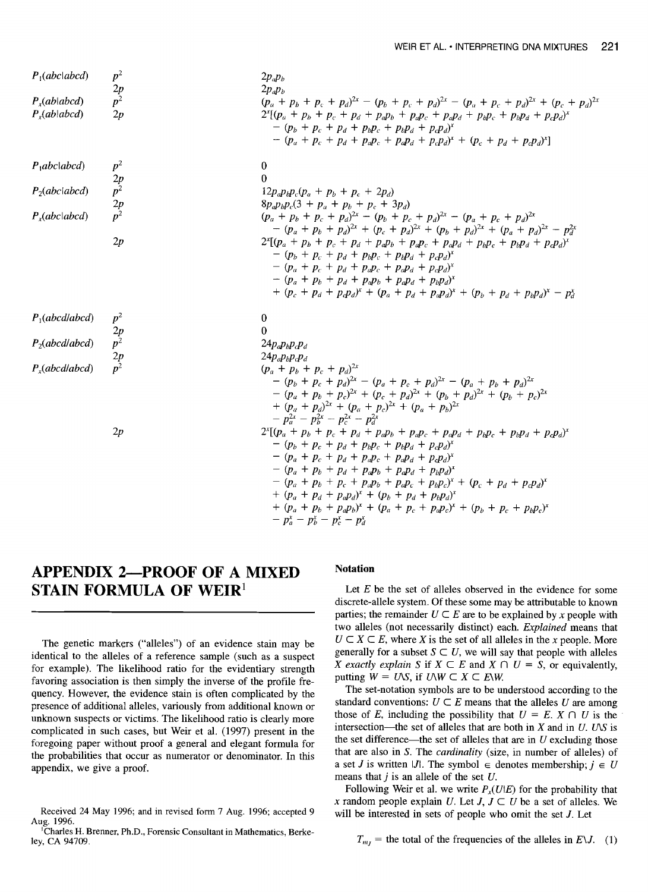| $P_1(abcd)$                          | $p^2$            | $2p_ap_b$                                                                                                                                                                                                                                                                                |
|--------------------------------------|------------------|------------------------------------------------------------------------------------------------------------------------------------------------------------------------------------------------------------------------------------------------------------------------------------------|
|                                      | $\frac{2p}{p^2}$ | $2p_a p_b$                                                                                                                                                                                                                                                                               |
| $P_{x}(ab abcd)$<br>$P_{x}(ab abcd)$ | 2p               | $(p_a + p_b + p_c + p_d)^{2x} - (p_b + p_c + p_d)^{2x} - (p_a + p_c + p_d)^{2x} + (p_c + p_d)^{2x}$<br>$2^{x}[(p_{a} + p_{b} + p_{c} + p_{d} + p_{a}p_{b} + p_{a}p_{c} + p_{a}p_{d} + p_{b}p_{c} + p_{b}p_{d} + p_{c}p_{d})^{x}$<br>$-(p_b + p_c + p_d + p_b p_c + p_b p_d + p_c p_d)^x$ |
|                                      |                  | $-(p_a + p_c + p_d + p_d p_c + p_d p_d + p_c p_d)^{x} + (p_c + p_d + p_c p_d)^{x}]$                                                                                                                                                                                                      |
| $P_1abcd$                            | $p^2$            | $\theta$                                                                                                                                                                                                                                                                                 |
|                                      |                  | $\Omega$                                                                                                                                                                                                                                                                                 |
| $P_2(abcd)$                          | $\frac{2p}{p^2}$ | $12p_a p_b p_c (p_a + p_b + p_c + 2p_d)$                                                                                                                                                                                                                                                 |
|                                      | $\frac{2p}{p^2}$ | $8p_a p_b p_c (3 + p_a + p_b + p_c + 3p_d)$                                                                                                                                                                                                                                              |
| $P_x(abc abcd)$                      |                  | $(p_a + p_b + p_c + p_d)^{2x} - (p_b + p_c + p_d)^{2x} - (p_a + p_c + p_d)^{2x}$<br>$-(p_a + p_b + p_d)^{2x} + (p_c + p_d)^{2x} + (p_b + p_d)^{2x} + (p_a + p_d)^{2x} - p_d^{2x}$                                                                                                        |
|                                      | 2p               | $2^{x}[(p_{a} + p_{b} + p_{c} + p_{d} + p_{a}p_{b} + p_{a}p_{c} + p_{a}p_{d} + p_{b}p_{c} + p_{b}p_{d} + p_{c}p_{d})^{x}$                                                                                                                                                                |
|                                      |                  | $-(p_b + p_c + p_d + p_b p_c + p_b p_d + p_c p_d)^x$                                                                                                                                                                                                                                     |
|                                      |                  | $- (p_a + p_c + p_d + p_d p_c + p_d p_d + p_c p_d)^{x}$                                                                                                                                                                                                                                  |
|                                      |                  | $-(p_a + p_b + p_d + p_a p_b + p_a p_d + p_b p_d)^x$                                                                                                                                                                                                                                     |
|                                      |                  | $+(p_c + p_d + p_c p_d)^{x} + (p_a + p_d + p_d p_d)^{x} + (p_b + p_d + p_b p_d)^{x} - p_d^{x}$                                                                                                                                                                                           |
| $P_1(abcd/abcd)$                     |                  | $\bf{0}$                                                                                                                                                                                                                                                                                 |
|                                      |                  | $\theta$                                                                                                                                                                                                                                                                                 |
| $P_2(abcd/abcd)$                     | $\frac{2p}{p^2}$ | $24p_a p_b p_c p_d$                                                                                                                                                                                                                                                                      |
|                                      |                  | $24p_a p_b p_c p_d$                                                                                                                                                                                                                                                                      |
| $P_{r}(abcd \nabcd)$                 |                  | $(p_a + p_b + p_c + p_d)^{2x}$                                                                                                                                                                                                                                                           |
|                                      |                  | $-(p_b + p_c + p_d)^{2x} - (p_a + p_c + p_d)^{2x} - (p_a + p_b + p_d)^{2x}$                                                                                                                                                                                                              |
|                                      |                  | $-(p_a + p_b + p_c)^{2x} + (p_c + p_d)^{2x} + (p_b + p_d)^{2x} + (p_b + p_c)^{2x}$                                                                                                                                                                                                       |
|                                      |                  | + $(p_a + p_d)^{2x}$ + $(p_a + p_c)^{2x}$ + $(p_a + p_b)^{2x}$                                                                                                                                                                                                                           |
|                                      |                  | $-p_a^{2x} - p_b^{2x} - p_c^{2x} - p_d^{2x}$                                                                                                                                                                                                                                             |
|                                      | 2p               | $2^{x}[(p_{a} + p_{b} + p_{c} + p_{d} + p_{a}p_{b} + p_{a}p_{c} + p_{a}p_{d} + p_{b}p_{c} + p_{b}p_{d} + p_{c}p_{d})^{x}$                                                                                                                                                                |
|                                      |                  | $-(p_b + p_c + p_d + p_b p_c + p_b p_d + p_c p_d)^x$                                                                                                                                                                                                                                     |
|                                      |                  | $-(p_a + p_c + p_d + p_a p_c + p_a p_d + p_c p_d)^x$                                                                                                                                                                                                                                     |
|                                      |                  | $-(p_a + p_b + p_d + p_a p_b + p_a p_d + p_b p_d)^x$                                                                                                                                                                                                                                     |
|                                      |                  | $-(p_a + p_b + p_c + p_a p_b + p_a p_c + p_b p_c)^x + (p_c + p_d + p_c p_d)^x$                                                                                                                                                                                                           |
|                                      |                  | + $(p_a + p_d + p_d p_d)^x + (p_b + p_d + p_b p_d)^x$                                                                                                                                                                                                                                    |
|                                      |                  | + $(p_a + p_b + p_a p_b)^x$ + $(p_a + p_c + p_a p_c)^x$ + $(p_b + p_c + p_b p_c)^x$                                                                                                                                                                                                      |
|                                      |                  | $- n^{x} - n^{x} - n^{x} - n^{y}$                                                                                                                                                                                                                                                        |

# **APPENDIX 2--PROOF OF A MIXED STAIN FORMULA OF WEIR<sup>1</sup>**

The genetic markers ("alleles") of an evidence stain may be identical to the alleles of a reference sample (such as a suspect for example). The likelihood ratio for the evidentiary strength favoring association is then simply the inverse of the profile frequency. However, the evidence stain is often complicated by the presence of additional alleles, variously from additional known or unknown suspects or victims. The likelihood ratio is clearly more complicated in such cases, but Weir et al. (1997) present in the foregoing paper without proof a general and elegant formula for the probabilities that occur as numerator or denominator. In this appendix, we give a proof.

Received 24 May 1996; and in revised form 7 Aug. 1996; accepted 9 Aug. 1996.

~Charles H. Brenner, Ph.D., Forensic Consultant in Mathematics, Berkeley, CA 94709.

## **Notation**

Let  $E$  be the set of alleles observed in the evidence for some discrete-allele system. Of these some may be attributable to known parties; the remainder  $U \subset E$  are to be explained by x people with two alleles (not necessarily distinct) each. *Explained* means that  $U \subset X \subset E$ , where X is the set of all alleles in the x people. More generally for a subset  $S \subset U$ , we will say that people with alleles *X exactly explain S* if  $X \subseteq E$  and  $X \cap U = S$ , or equivalently, putting  $W = U\setminus S$ , if  $U\setminus W \subset X \subset E\setminus W$ .

The set-notation symbols are to be understood according to the standard conventions:  $U \subset E$  means that the alleles U are among those of E, including the possibility that  $U = E$ .  $X \cap U$  is the intersection—the set of alleles that are both in  $X$  and in  $U$ . UNS is the set difference—the set of alleles that are in  $U$  excluding those that are also in S. The *cardinality* (size, in number of alleles) of a set *J* is written *IJ*. The symbol  $\in$  denotes membership;  $j \in U$ means that  $j$  is an allele of the set  $U$ .

Following Weir et al. we write  $P_x(U|E)$  for the probability that x random people explain U. Let  $J, J \subset U$  be a set of alleles. We will be interested in sets of people who omit the set  $J$ . Let

 $T_{m}$  = the total of the frequencies of the alleles in *E\J.* (1)